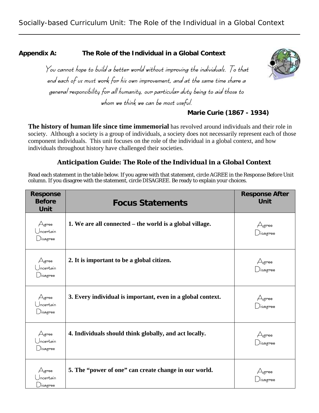**Appendix A: The Role of the Individual in a Global Context** 



You cannot hope to build a better world without improving the individuals. To that end each of us must work for his own improvement, and at the same time share a general responsibility for all humanity, our particular duty being to aid those to whom we think we can be most useful.

# **Marie Curie (1867 - 1934)**

**The history of human life since time immemorial** has revolved around individuals and their role in society. Although a society is a group of individuals, a society does not necessarily represent each of those component individuals. This unit focuses on the role of the individual in a global context, and how individuals throughout history have challenged their societies.

# *Anticipation Guide: The Role of the Individual in a Global Context*

Read each statement in the table below. If you agree with that statement, circle AGREE in the *Response Before Unit* column. If you disagree with the statement, circle DISAGREE. Be ready to explain your choices.

| <b>Response</b><br><b>Before</b><br>Unit               | <b>Focus Statements</b>                                     | <b>Response After</b><br>Unit |
|--------------------------------------------------------|-------------------------------------------------------------|-------------------------------|
| $\triangle$ gree<br>Jncertain<br>$\bigcup$ isagree     | 1. We are all connected – the world is a global village.    | Agree<br>)isagree             |
| $\bigtriangleup$ gree<br>ncertain<br>$\bigcup$ isagree | 2. It is important to be a global citizen.                  | Agree<br>)isagree             |
| Agree<br>Jncertain<br>$\Box$ isagree                   | 3. Every individual is important, even in a global context. | Agree<br>)isagree             |
| $A$ gree<br>Jncertain<br>$\bigcup$ isagree             | 4. Individuals should think globally, and act locally.      | Agree<br>)isagree             |
| $\bigtriangleup$ gree<br>ncertain<br>⊃isagree          | 5. The "power of one" can create change in our world.       | Agree<br>Jisagree             |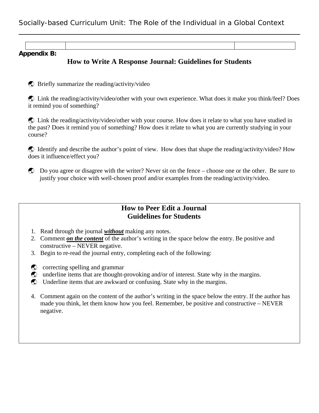**Appendix B:** 

# **How to Write A Response Journal: Guidelines for Students**

 $\bullet$  Briefly summarize the reading/activity/video

ß Link the reading/activity/video/other with your own experience. What does it make you think/feel? Does it remind you of something?

ß Link the reading/activity/video/other with your course. How does it relate to what you have studied in the past? Does it remind you of something? How does it relate to what you are currently studying in your course?

ß Identify and describe the author's point of view. How does that shape the reading/activity/video? How does it influence/effect you?

ß Do you agree or disagree with the writer? Never sit on the fence – choose one or the other. Be sure to justify your choice with well-chosen proof and/or examples from the reading/activity/video.

## **How to Peer Edit a Journal Guidelines for Students**

- 1. Read through the journal *without* making any notes.
- 2. Comment *on the content* of the author's writing in the space below the entry. Be positive and constructive – NEVER negative.
- 3. Begin to re-read the journal entry, completing each of the following:
- $\bullet$  correcting spelling and grammar
- $\bullet$  underline items that are thought-provoking and/or of interest. State why in the margins.
- **C** Underline items that are awkward or confusing. State why in the margins.
- 4. Comment again on the content of the author's writing in the space below the entry. If the author has made you think, let them know how you feel. Remember, be positive and constructive – NEVER negative.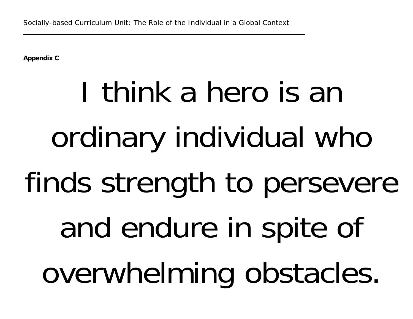**Appendix C** 

# I think a hero is an ordinary individual who finds strength to persevere and endure in spite of overwhelming obstacles.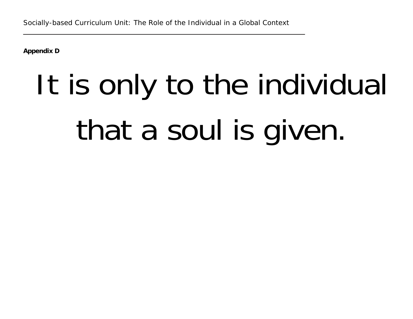**Appendix D** 

# It is only to the individual that a soul is given.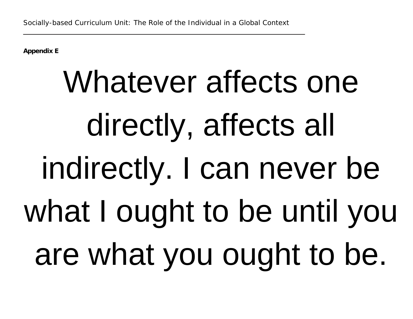**Appendix E** 

# Whatever affects one directly, affects all indirectly. I can never be what I ought to be until you are what you ought to be.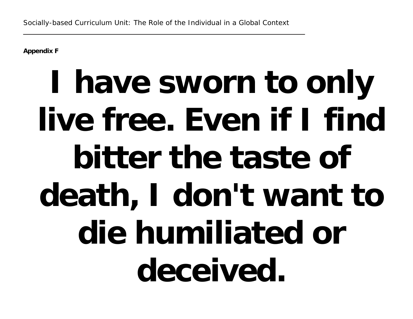**Appendix F** 

# **I have sworn to only live free. Even if I find bitter the taste of death, I don't want to die humiliated or deceived.**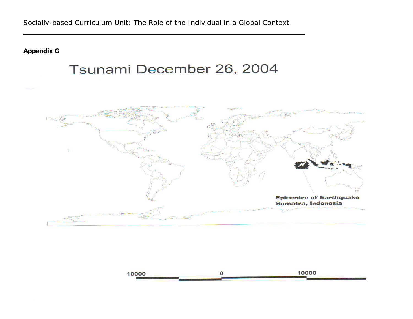**Appendix G** 

# Tsunami December 26, 2004



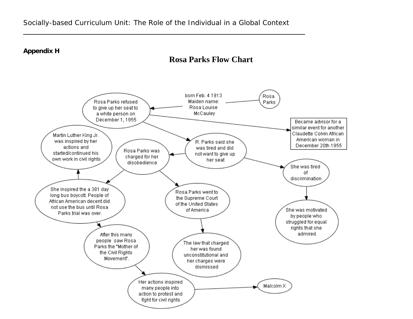**Appendix H** 

# **Rosa Parks Flow Chart**

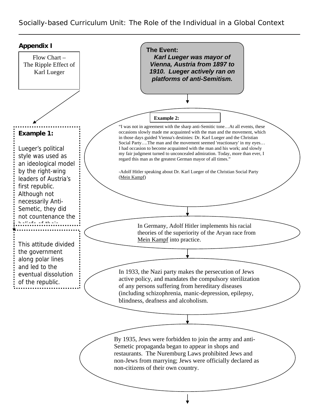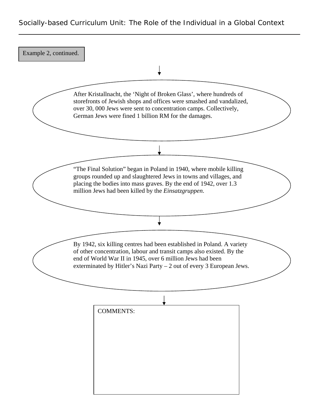After Kristallnacht, the 'Night of Broken Glass', where hundreds of storefronts of Jewish shops and offices were smashed and vandalized, over 30, 000 Jews were sent to concentration camps. Collectively, German Jews were fined 1 billion RM for the damages. Example 2, continued. "The Final Solution" began in Poland in 1940, where mobile killing groups rounded up and slaughtered Jews in towns and villages, and placing the bodies into mass graves. By the end of 1942, over 1.3 million Jews had been killed by the *Einsatzgruppen*. By 1942, six killing centres had been established in Poland. A variety of other concentration, labour and transit camps also existed. By the end of World War II in 1945, over 6 million Jews had been exterminated by Hitler's Nazi Party – 2 out of every 3 European Jews. COMMENTS: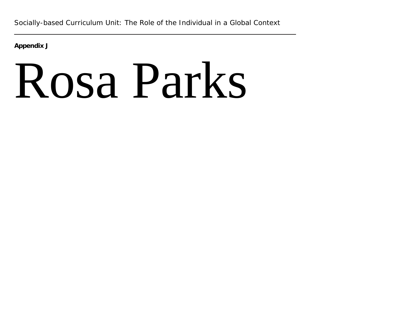**Appendix J** 

# Rosa Parks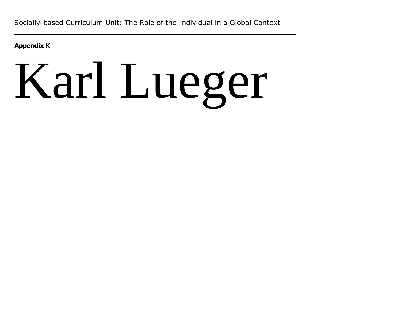**Appendix K** 

# Karl Lueger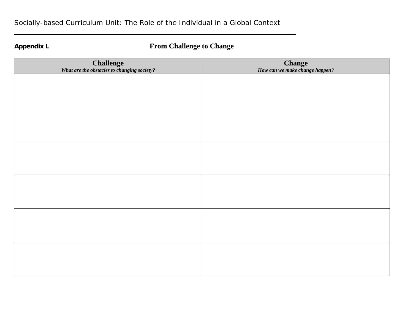# **Appendix L From Challenge to Change**

| <b>Challenge</b><br>What are the obstacles to changing society? | <b>Change</b><br>How can we make change happen? |
|-----------------------------------------------------------------|-------------------------------------------------|
|                                                                 |                                                 |
|                                                                 |                                                 |
|                                                                 |                                                 |
|                                                                 |                                                 |
|                                                                 |                                                 |
|                                                                 |                                                 |
|                                                                 |                                                 |
|                                                                 |                                                 |
|                                                                 |                                                 |
|                                                                 |                                                 |
|                                                                 |                                                 |
|                                                                 |                                                 |
|                                                                 |                                                 |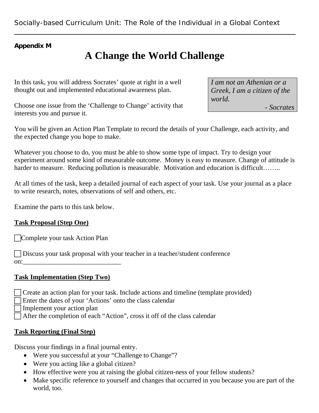# **Appendix M**

# **A Change the World Challenge**

In this task, you will address Socrates' quote at right in a well thought out and implemented educational awareness plan.

Choose one issue from the 'Challenge to Change' activity that interests you and pursue it.

You will be given an Action Plan Template to record the details of your Challenge, each activity, and the expected change you hope to make.

Whatever you choose to do, you must be able to show some type of impact. Try to design your experiment around some kind of measurable outcome. Money is easy to measure. Change of attitude is harder to measure. Reducing pollution is measurable. Motivation and education is difficult……..

At all times of the task, keep a detailed journal of each aspect of your task. Use your journal as a place to write research, notes, observations of self and others, etc.

Examine the parts to this task below.

# **Task Proposal (Step One)**

**FComplete your task Action Plan** 

 $\Box$  Discuss your task proposal with your teacher in a teacher/student conference on:\_\_\_\_\_\_\_\_\_\_\_\_\_\_\_\_\_\_\_\_\_\_\_\_\_\_\_\_\_

# **Task Implementation (Step Two)**

- $\Box$  Create an action plan for your task. Include actions and timeline (template provided)
	- Enter the dates of your 'Actions' onto the class calendar
	- $\overline{\overline{\mathsf{I}}}$  Implement your action plan
- $\Box$  After the completion of each "Action", cross it off of the class calendar

# **Task Reporting (Final Step)**

Discuss your findings in a final journal entry.

- Were you successful at your "Challenge to Change"?
- Were you acting like a global citizen?
- How effective were you at raising the global citizen-ness of your fellow students?
- Make specific reference to yourself and changes that occurred in you because you are part of the world, too.

*I am not an Athenian or a Greek, I am a citizen of the world. - Socrates*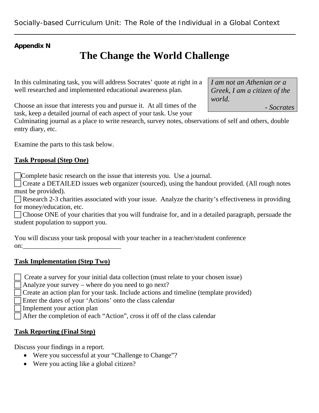# **Appendix N**

# **The Change the World Challenge**

In this culminating task, you will address Socrates' quote at right in a well researched and implemented educational awareness plan.

Choose an issue that interests you and pursue it. At all times of the task, keep a detailed journal of each aspect of your task. Use your

Culminating journal as a place to write research, survey notes, observations of self and others, double entry diary, etc.

Examine the parts to this task below.

# **Task Proposal (Step One)**

FComplete basic research on the issue that interests you. Use a journal.

 $\Box$  Create a DETAILED issues web organizer (sourced), using the handout provided. (All rough notes must be provided).

 $\Box$  Research 2-3 charities associated with your issue. Analyze the charity's effectiveness in providing for money/education, etc.

 $\Box$  Choose ONE of your charities that you will fundraise for, and in a detailed paragraph, persuade the student population to support you.

You will discuss your task proposal with your teacher in a teacher/student conference on: $\Box$ 

# **Task Implementation (Step Two)**

 $\Box$  Create a survey for your initial data collection (must relate to your chosen issue)

Analyze your survey – where do you need to go next?

There an action plan for your task. Include actions and timeline (template provided)

Enter the dates of your 'Actions' onto the class calendar

Implement your action plan

 $\Box$  After the completion of each "Action", cross it off of the class calendar

# **Task Reporting (Final Step)**

Discuss your findings in a report.

- Were you successful at your "Challenge to Change"?
- Were you acting like a global citizen?

*I am not an Athenian or a Greek, I am a citizen of the world.* 

*- Socrates*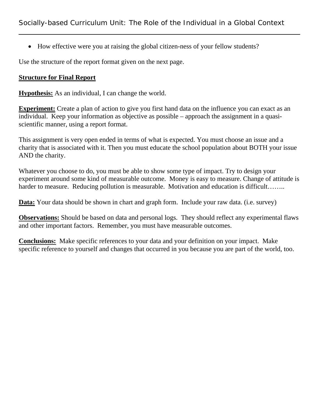• How effective were you at raising the global citizen-ness of your fellow students?

Use the structure of the report format given on the next page.

# **Structure for Final Report**

**Hypothesis:** As an individual, I can change the world.

**Experiment:** Create a plan of action to give you first hand data on the influence you can exact as an individual. Keep your information as objective as possible – approach the assignment in a quasiscientific manner, using a report format.

This assignment is very open ended in terms of what is expected. You must choose an issue and a charity that is associated with it. Then you must educate the school population about BOTH your issue AND the charity.

Whatever you choose to do, you must be able to show some type of impact. Try to design your experiment around some kind of measurable outcome. Money is easy to measure. Change of attitude is harder to measure. Reducing pollution is measurable. Motivation and education is difficult……..

**Data:** Your data should be shown in chart and graph form. Include your raw data. (i.e. survey)

**Observations:** Should be based on data and personal logs. They should reflect any experimental flaws and other important factors. Remember, you must have measurable outcomes.

**Conclusions:** Make specific references to your data and your definition on your impact. Make specific reference to yourself and changes that occurred in you because you are part of the world, too.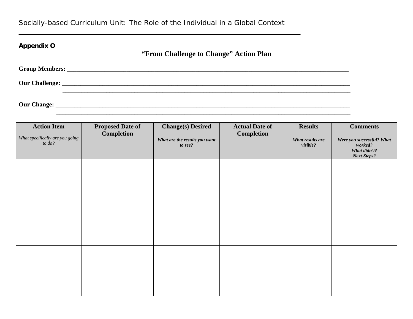| <b>Appendix O</b>                                                                                                                                                                                                                       | "From Challenge to Change" Action Plan |
|-----------------------------------------------------------------------------------------------------------------------------------------------------------------------------------------------------------------------------------------|----------------------------------------|
|                                                                                                                                                                                                                                         |                                        |
|                                                                                                                                                                                                                                         |                                        |
| <b>Our Change:</b> <u>Department</u> of the contract of the contract of the contract of the contract of the contract of the contract of the contract of the contract of the contract of the contract of the contract of the contract of |                                        |

 **\_\_\_\_\_\_\_\_\_\_\_\_\_\_\_\_\_\_\_\_\_\_\_\_\_\_\_\_\_\_\_\_\_\_\_\_\_\_\_\_\_\_\_\_\_\_\_\_\_\_\_\_\_\_\_\_\_\_\_\_\_\_\_\_\_\_\_\_\_\_\_\_\_\_\_\_\_\_\_\_\_\_\_\_\_\_\_\_\_\_\_\_\_\_** 

| <b>Action Item</b><br>What specifically are you going<br>to $do?$ | <b>Proposed Date of</b><br><b>Completion</b> | <b>Change(s)</b> Desired<br>What are the results you want<br>to see? | <b>Actual Date of</b><br><b>Completion</b> | <b>Results</b><br>What results are<br>visible? | <b>Comments</b><br>Were you successful? What<br>worked?<br>What didn't?<br><b>Next Steps?</b> |
|-------------------------------------------------------------------|----------------------------------------------|----------------------------------------------------------------------|--------------------------------------------|------------------------------------------------|-----------------------------------------------------------------------------------------------|
|                                                                   |                                              |                                                                      |                                            |                                                |                                                                                               |
|                                                                   |                                              |                                                                      |                                            |                                                |                                                                                               |
|                                                                   |                                              |                                                                      |                                            |                                                |                                                                                               |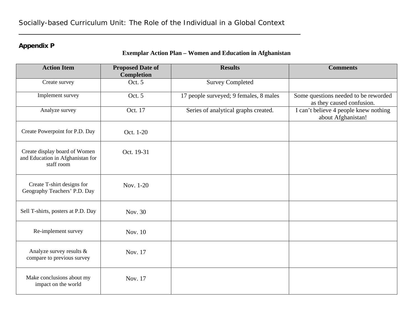# **Appendix P**

# **Exemplar Action Plan – Women and Education in Afghanistan**

| <b>Action Item</b>                                                              | <b>Proposed Date of</b><br><b>Completion</b> | <b>Results</b>                         | <b>Comments</b>                                                   |
|---------------------------------------------------------------------------------|----------------------------------------------|----------------------------------------|-------------------------------------------------------------------|
| Create survey                                                                   | Oct. 5                                       | <b>Survey Completed</b>                |                                                                   |
| Implement survey                                                                | Oct. 5                                       | 17 people surveyed; 9 females, 8 males | Some questions needed to be reworded<br>as they caused confusion. |
| Analyze survey                                                                  | Oct. 17                                      | Series of analytical graphs created.   | I can't believe 4 people knew nothing<br>about Afghanistan!       |
| Create Powerpoint for P.D. Day                                                  | Oct. 1-20                                    |                                        |                                                                   |
| Create display board of Women<br>and Education in Afghanistan for<br>staff room | Oct. 19-31                                   |                                        |                                                                   |
| Create T-shirt designs for<br>Geography Teachers' P.D. Day                      | Nov. 1-20                                    |                                        |                                                                   |
| Sell T-shirts, posters at P.D. Day                                              | Nov. 30                                      |                                        |                                                                   |
| Re-implement survey                                                             | Nov. 10                                      |                                        |                                                                   |
| Analyze survey results &<br>compare to previous survey                          | Nov. 17                                      |                                        |                                                                   |
| Make conclusions about my<br>impact on the world                                | Nov. 17                                      |                                        |                                                                   |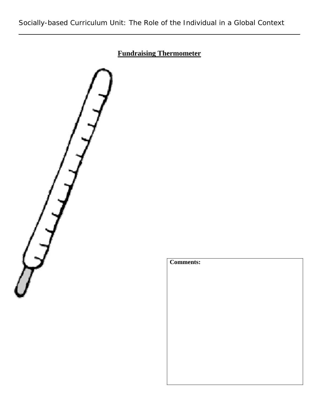# **Fundraising Thermometer**



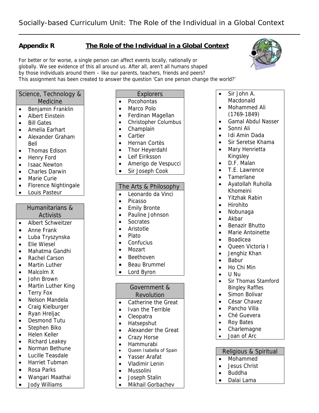# **Appendix R The Role of the Individual in a Global Context**

For better or for worse, a single person can affect events locally, nationally or globally. We see evidence of this all around us. After all, aren't all humans shaped by those individuals around them – like our parents, teachers, friends and peers? This assignment has been created to answer the question 'Can one person change the world?'

#### Science, Technology & Medicine

- Benjamin Franklin
- Albert Einstein
- Bill Gates
- Amelia Earhart
- Alexander Graham Bell
- Thomas Edison
- Henry Ford
- Isaac Newton
- Charles Darwin
- Marie Curie
- Florence Nightingale
- Louis Pasteur

# Humanitarians &

### Activists

- Albert Schweitzer
- Anne Frank
- Luba Tryszynska
- Elie Wiesel
- Mahatma Gandhi
- Rachel Carson
- Martin Luther
- Malcolm X
- John Brown
- Martin Luther King
- Terry Fox
- Nelson Mandela
- Craig Kielburger
- Ryan Hreliac
- Desmond Tutu
- Stephen Biko
- Helen Keller
- Richard Leakey
- Norman Bethune
- Lucille Teasdale
- Harriet Tubman
- Rosa Parks
- Wangari Maathai
- Jody Williams

# Explorers

- Pocohontas
- Marco Polo
- Ferdinan Magellan
- Christopher Columbus
- Champlain
- Cartier
- Hernan Cortès
- Thor Heyerdahl
- Leif Eiriksson
- Amerigo de Vespucci
- Sir Joseph Cook

#### The Arts & Philosophy

- Leonardo da Vinci
- Picasso
- Emily Bronte
- Pauline Johnson
- Socrates
- Aristotle
- Plato
- Confucius
- Mozart
- Beethoven
- Beau Brummel
- Lord Byron

#### Government & Revolution

- Catherine the Great
- Ivan the Terrible
- Cleopatra
- Hatsepshut
- Alexander the Great
- Crazy Horse
- Hammurabi
- Queen Isabella of Spain
- Yasser Arafat
- Vladimir Lenin
- Mussolini
- Joseph Stalin
- Mikhail Gorbachev
- Sir John A. Macdonald
- Mohammed Ali
- (1769-1849)
- Gamal Abdul Nasser
- Sonni Ali
- Idi Amin Dada
- Sir Seretse Khama
- Mary Henrietta Kingsley
- D.F. Malan
- T.E. Lawrence
- Tamerlane
- Ayatollah Ruholla Khomeini
- Yitzhak Rabin
- Hirohito
- Nobunaga

• Boadicea

• Babur • Ho Chi Min • U Nu

• Roy Bates<br>• Charleman • Charlemagne • Joan of Arc

• Mohammed • Jesus Christ • Buddha • Dalai Lama

- Akbar
- Benazir Bhutto
- Marie Antoinette

• Queen Victoria I • Jenghiz Khan

• Sir Thomas Stamford Bingley Raffles • Simon Bolivar • César Chavez • Pancho Villa • Ché Guevera

Religious & Spiritual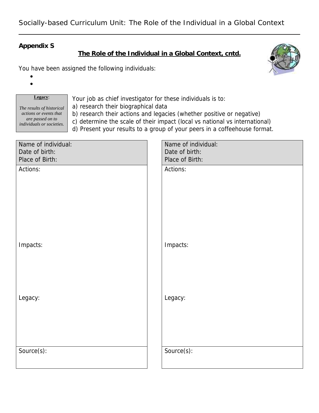# **Appendix S**

**The Role of the Individual in a Global Context, cntd.**

You have been assigned the following individuals:



• •

### **Legacy**:

*The results of historical actions or events that are passed on to individuals or societies.*  Your job as chief investigator for these individuals is to:

a) research their biographical data

b) research their actions and legacies (whether positive or negative)

c) determine the scale of their impact (local vs national vs international)

d) Present your results to a group of your peers in a coffeehouse format.

| Date of birth:<br>Date of birth:<br>Place of Birth:<br>Place of Birth:<br>Actions:<br>Actions:<br>Impacts:<br>Impacts: |
|------------------------------------------------------------------------------------------------------------------------|
|                                                                                                                        |
|                                                                                                                        |
|                                                                                                                        |
|                                                                                                                        |
|                                                                                                                        |
|                                                                                                                        |
|                                                                                                                        |
|                                                                                                                        |
|                                                                                                                        |
|                                                                                                                        |
|                                                                                                                        |
|                                                                                                                        |
|                                                                                                                        |
|                                                                                                                        |
|                                                                                                                        |
|                                                                                                                        |
|                                                                                                                        |
|                                                                                                                        |
| Legacy:<br>Legacy:                                                                                                     |
|                                                                                                                        |
|                                                                                                                        |
|                                                                                                                        |
|                                                                                                                        |
|                                                                                                                        |
| Source(s):<br>Source(s):                                                                                               |
|                                                                                                                        |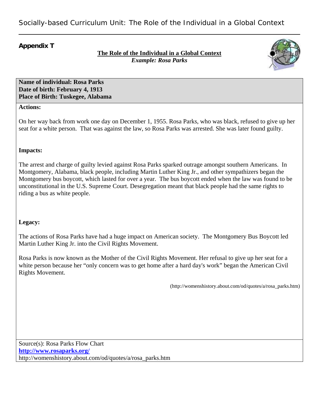### **Appendix T**

### **The Role of the Individual in a Global Context** *Example: Rosa Parks*



**Name of individual: Rosa Parks Date of birth: February 4, 1913 Place of Birth: Tuskegee, Alabama**

#### **Actions:**

On her way back from work one day on December 1, 1955. Rosa Parks, who was black, refused to give up her seat for a white person. That was against the law, so Rosa Parks was arrested. She was later found guilty.

#### **Impacts:**

The arrest and charge of guilty levied against Rosa Parks sparked outrage amongst southern Americans. In Montgomery, Alabama, black people, including Martin Luther King Jr., and other sympathizers began the Montgomery bus boycott, which lasted for over a year. The bus boycott ended when the law was found to be unconstitutional in the U.S. Supreme Court. Desegregation meant that black people had the same rights to riding a bus as white people.

#### **Legacy:**

The actions of Rosa Parks have had a huge impact on American society. The Montgomery Bus Boycott led Martin Luther King Jr. into the Civil Rights Movement.

Rosa Parks is now known as the Mother of the Civil Rights Movement. Her refusal to give up her seat for a white person because her "only concern was to get home after a hard day's work" began the American Civil Rights Movement.

(http://womenshistory.about.com/od/quotes/a/rosa\_parks.htm)

Source(s): Rosa Parks Flow Chart **http://www.rosaparks.org/** http://womenshistory.about.com/od/quotes/a/rosa\_parks.htm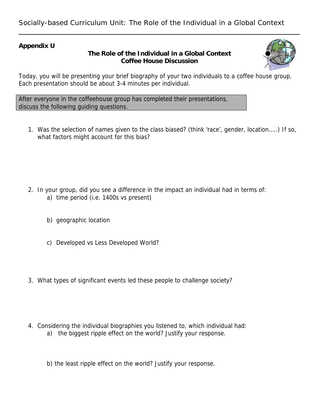### **Appendix U**

## **The Role of the Individual in a Global Context Coffee House Discussion**



Today, you will be presenting your brief biography of your two individuals to a coffee house group. Each presentation should be about 3-4 minutes per individual.

After everyone in the coffeehouse group has completed their presentations, discuss the following guiding questions.

1. Was the selection of names given to the class biased? (think 'race', gender, location…..) If so, what factors might account for this bias?

- 2. In your group, did you see a difference in the impact an individual had in terms of: a) time period (i.e. 1400s vs present)
	- b) geographic location
	- c) Developed vs Less Developed World?
- 3. What types of significant events led these people to challenge society?
- 4. Considering the individual biographies you listened to, which individual had: a) the biggest ripple effect on the world? Justify your response.
	- b) the least ripple effect on the world? Justify your response.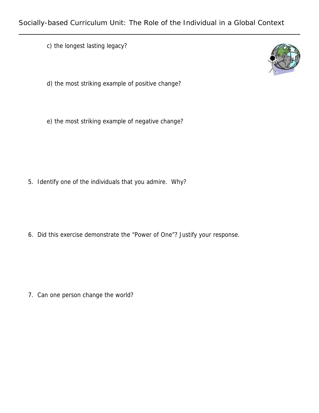c) the longest lasting legacy?



e) the most striking example of negative change?

5. Identify one of the individuals that you admire. Why?

6. Did this exercise demonstrate the "Power of One"? Justify your response.

7. Can one person change the world?

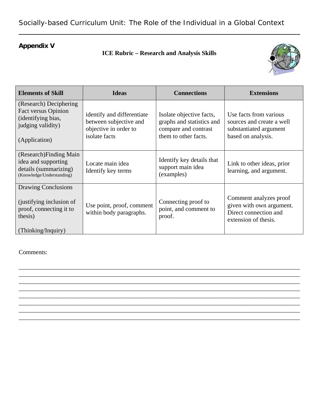# **Appendix V**

# **ICE Rubric – Research and Analysis Skills**



| <b>Elements of Skill</b>                                                                                         | <b>Ideas</b>                                                                                   | <b>Connections</b>                                                                                    | <b>Extensions</b>                                                                                   |
|------------------------------------------------------------------------------------------------------------------|------------------------------------------------------------------------------------------------|-------------------------------------------------------------------------------------------------------|-----------------------------------------------------------------------------------------------------|
| (Research) Deciphering<br><b>Fact versus Opinion</b><br>(identifying bias,<br>judging validity)<br>(Application) | identify and differentiate<br>between subjective and<br>objective in order to<br>isolate facts | Isolate objective facts,<br>graphs and statistics and<br>compare and contrast<br>them to other facts. | Use facts from various<br>sources and create a well<br>substantiated argument<br>based on analysis. |
| (Research) Finding Main<br>idea and supporting<br>details (summarizing)<br>(Knowledge/Understanding)             | Locate main idea<br>Identify key terms                                                         | Identify key details that<br>support main idea<br>(examples)                                          | Link to other ideas, prior<br>learning, and argument.                                               |
| Drawing Conclusions<br>(justifying inclusion of<br>proof, connecting it to<br>thesis)<br>(Thinking/Inquiry)      | Use point, proof, comment<br>within body paragraphs.                                           | Connecting proof to<br>point, and comment to<br>proof.                                                | Comment analyzes proof<br>given with own argument.<br>Direct connection and<br>extension of thesis. |

\_\_\_\_\_\_\_\_\_\_\_\_\_\_\_\_\_\_\_\_\_\_\_\_\_\_\_\_\_\_\_\_\_\_\_\_\_\_\_\_\_\_\_\_\_\_\_\_\_\_\_\_\_\_\_\_\_\_\_\_\_\_\_\_\_\_\_\_\_\_\_\_\_\_\_\_\_\_\_\_\_\_\_\_\_\_\_\_\_\_ \_\_\_\_\_\_\_\_\_\_\_\_\_\_\_\_\_\_\_\_\_\_\_\_\_\_\_\_\_\_\_\_\_\_\_\_\_\_\_\_\_\_\_\_\_\_\_\_\_\_\_\_\_\_\_\_\_\_\_\_\_\_\_\_\_\_\_\_\_\_\_\_\_\_\_\_\_\_\_\_\_\_\_\_\_\_\_\_\_\_ \_\_\_\_\_\_\_\_\_\_\_\_\_\_\_\_\_\_\_\_\_\_\_\_\_\_\_\_\_\_\_\_\_\_\_\_\_\_\_\_\_\_\_\_\_\_\_\_\_\_\_\_\_\_\_\_\_\_\_\_\_\_\_\_\_\_\_\_\_\_\_\_\_\_\_\_\_\_\_\_\_\_\_\_\_\_\_\_\_\_ \_\_\_\_\_\_\_\_\_\_\_\_\_\_\_\_\_\_\_\_\_\_\_\_\_\_\_\_\_\_\_\_\_\_\_\_\_\_\_\_\_\_\_\_\_\_\_\_\_\_\_\_\_\_\_\_\_\_\_\_\_\_\_\_\_\_\_\_\_\_\_\_\_\_\_\_\_\_\_\_\_\_\_\_\_\_\_\_\_\_ \_\_\_\_\_\_\_\_\_\_\_\_\_\_\_\_\_\_\_\_\_\_\_\_\_\_\_\_\_\_\_\_\_\_\_\_\_\_\_\_\_\_\_\_\_\_\_\_\_\_\_\_\_\_\_\_\_\_\_\_\_\_\_\_\_\_\_\_\_\_\_\_\_\_\_\_\_\_\_\_\_\_\_\_\_\_\_\_\_\_ \_\_\_\_\_\_\_\_\_\_\_\_\_\_\_\_\_\_\_\_\_\_\_\_\_\_\_\_\_\_\_\_\_\_\_\_\_\_\_\_\_\_\_\_\_\_\_\_\_\_\_\_\_\_\_\_\_\_\_\_\_\_\_\_\_\_\_\_\_\_\_\_\_\_\_\_\_\_\_\_\_\_\_\_\_\_\_\_\_\_ \_\_\_\_\_\_\_\_\_\_\_\_\_\_\_\_\_\_\_\_\_\_\_\_\_\_\_\_\_\_\_\_\_\_\_\_\_\_\_\_\_\_\_\_\_\_\_\_\_\_\_\_\_\_\_\_\_\_\_\_\_\_\_\_\_\_\_\_\_\_\_\_\_\_\_\_\_\_\_\_\_\_\_\_\_\_\_\_\_\_ \_\_\_\_\_\_\_\_\_\_\_\_\_\_\_\_\_\_\_\_\_\_\_\_\_\_\_\_\_\_\_\_\_\_\_\_\_\_\_\_\_\_\_\_\_\_\_\_\_\_\_\_\_\_\_\_\_\_\_\_\_\_\_\_\_\_\_\_\_\_\_\_\_\_\_\_\_\_\_\_\_\_\_\_\_\_\_\_\_\_

Comments: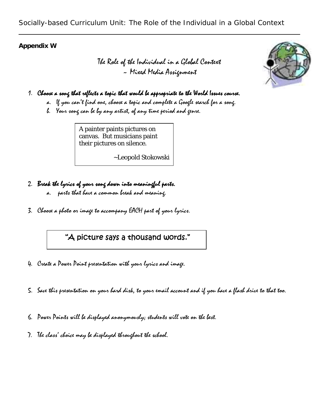### **Appendix W**

The Role of the Individual in a Global Context ~ Mixed Media Assignment



- a. If you can't find one, choose a topic and complete a Google search for a song.
- b. Your song can be by any artist, of any time period and genre.

A painter paints pictures on canvas. But musicians paint their pictures on silence.

~Leopold Stokowski

- 2. Break the lyrics of your song down into meaningful parts. a. parts that have a common break and meaning.
- 3. Choose a photo or image to accompany EACH part of your lyrics.

# "A picture says a thousand words."

- 4. Create a Power Point presentation with your lyrics and image.
- 5. Save this presentation on your hard disk, to your email account and if you have a flash drive to that too.
- 6. Power Points will be displayed anonymously; students will vote on the best.
- 7. The class' choice may be displayed throughout the school.